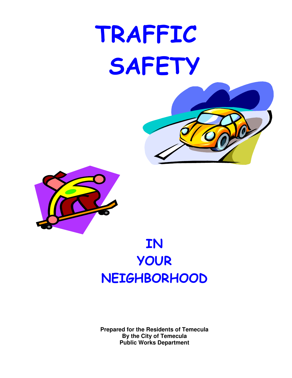# TRAFFIC SAFETY



## **IN** YOUR NEIGHBORHOOD

**Prepared for the Residents of Temecula By the City of Temecula Public Works Department**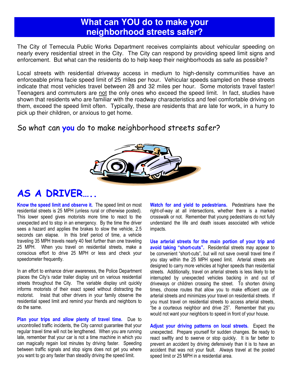#### What can YOU do to make your neighborhood streets safer?

The City of Temecula Public Works Department receives complaints about vehicular speeding on nearly every residential street in the City. The City can respond by providing speed limit signs and enforcement. But what can the residents do to help keep their neighborhoods as safe as possible?

Local streets with residential driveway access in medium to high-density communities have an enforceable prima facie speed limit of 25 miles per hour. Vehicular speeds sampled on these streets indicate that most vehicles travel between 28 and 32 miles per hour. Some motorists travel faster! Teenagers and commuters are not the only ones who exceed the speed limit. In fact, studies have shown that residents who are familiar with the roadway characteristics and feel comfortable driving on them, exceed the speed limit often. Typically, these are residents that are late for work, in a hurry to pick up their children, or anxious to get home.

#### So what can you do to make neighborhood streets safer?



#### **AS A DRIVER....**

Know the speed limit and observe it. The speed limit on most residential streets is 25 MPH (unless rural or otherwise posted). This lower speed gives motorists more time to react to the unexpected and to stop in an emergency. By the time the driver sees a hazard and applies the brakes to slow the vehicle, 2.5 seconds can elapse. In this brief period of time, a vehicle traveling 35 MPH travels nearly 40 feet further than one traveling 25 MPH. When you travel on residential streets, make a conscious effort to drive 25 MPH or less and check your speedometer frequently.

In an effort to enhance driver awareness, the Police Department places the City's radar trailer display unit on various residential streets throughout the City. The variable display unit quickly informs motorists of their exact speed without distracting the motorist. Insist that other drivers in your family observe the residential speed limit and remind your friends and neighbors to do the same.

Plan your trips and allow plenty of travel time. Due to uncontrolled traffic incidents, the City cannot guarantee that your regular travel time will not be lengthened. When you are running late, remember that your car is not a time machine in which you can magically regain lost minutes by driving faster. Speeding between traffic signals and stop signs does not get you where you want to go any faster than steadily driving the speed limit.

Watch for and yield to pedestrians. Pedestrians have the right-of-way at all intersections, whether there is a marked crosswalk or not. Remember that young pedestrians do not fully understand the life and death issues associated with vehicle impacts.

Use arterial streets for the main portion of your trip and avoid taking "short-cuts". Residential streets may appear to be convenient "short-cuts", but will not save overall travel time if you stay within the 25 MPH speed limit. Arterial streets are designed to carry more vehicles at higher speeds than residential streets. Additionally, travel on arterial streets is less likely to be interrupted by unexpected vehicles backing in and out of driveways or children crossing the street. To shorten driving times, choose routes that allow you to make efficient use of arterial streets and minimizes your travel on residential streets. If you must travel on residential streets to access arterial streets, "be a courteous neighbor and drive 25". Remember that you would not want your neighbors to speed in front of your house.

Adjust your driving patterns on local streets. Expect the unexpected. Prepare yourself for sudden changes. Be ready to react swiftly and to swerve or stop quickly. It is far better to prevent an accident by driving defensively than it is to have an accident that was not your fault. Always travel at the posted speed limit or 25 MPH in a residential area.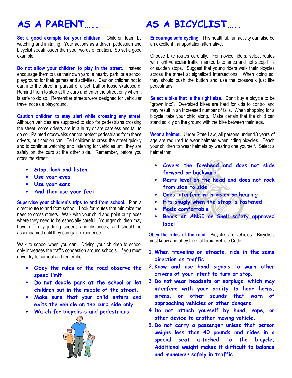## AS A PARFNT

Set a good example for your children. Children learn by watching and imitating. Your actions as a driver, pedestrian and bicyclist speak louder than your words of caution. So set a good example.

Do not allow your children to play in the street. Instead encourage them to use their own yard, a nearby park, or a school playground for their games and activities. Caution children not to dart into the street in pursuit of a pet, ball or loose skateboard. Remind them to stop at the curb and enter the street only when it is safe to do so. Remember streets were designed for vehicular travel not as a playground.

Caution children to stay alert while crossing any street.

Although vehicles are supposed to stop for pedestrians crossing the street, some drivers are in a hurry or are careless and fail to do so. Painted crosswalks cannot protect pedestrians from these drivers, but caution can. Tell children to cross the street quickly and to continue watching and listening for vehicles until they are safely on the curb at the other side. Remember, before you cross the street:

- Stop, look and listen
- Use your eyes
- Use your ears
- And then use your feet

Supervise your children's trips to and from school. Plan a direct route to and from school. Look for routes that minimize the need to cross streets. Walk with your child and point out places where they need to be especially careful. Younger children may have difficulty judging speeds and distances, and should be accompanied until they can gain experience.

Walk to school when you can. Driving your children to school only increases the traffic congestion around schools. If you must drive, try to carpool and remember:

- . Obey the rules of the road observe the speed limit
- Do not double park at the school or let children out in the middle of the street.
- . Make sure that your child enters and exits the vehicle on the curb side only
- Watch for bicyclists and pedestrians



### AS A BICYCLIST

Encourage safe cycling. This healthful, fun activity can also be an excellent transportation alternative.

Choose bike routes carefully. For novice riders, select routes with light vehicular traffic, marked bike lanes and not steep hills or sudden stops. Suggest that young riders walk their bicycles across the street at signalized intersections. When doing so. they should push the button and use the crosswalk just like pedestrians.

Select a bike that is the right size. Don't buy a bicycle to be "grown into". Oversized bikes are hard for kids to control and may result in an increased number of falls. When shopping for a bicycle, take your child along. Make certain that the child can stand solidly on the ground with the bike between their legs.

Wear a helmet. Under State Law, all persons under 18 years of age are required to wear helmets when riding bicycles. Teach your children to wear helmets by wearing one yourself. Select a helmet that:

- Covers the forehead and does not slide forward or backward
- . Rests level on the head and does not rock from side to side
- Does interfere with vision or hearing  $\bullet$
- Fits snugly when the strap is fastened
- Feels comfortable
- Bears an ANSI or Snell safety approved label

Obey the rules of the road. Bicycles are vehicles. Bicyclists must know and obey the California Vehicle Code.

- 1. When traveling on streets, ride in the same direction as traffic.
- 2. Know and use hand signals to warn other drivers of your intent to turn or stop.
- 3. Do not wear headsets or earplugs, which may interfere with your ability to hear horns, sirens, or other sounds that warn of approaching vehicles or other dangers.
- 4. Do not attach yourself by hand, rope, or other device to another moving vehicle.
- 5. Do not carry a passenger unless that person weighs less than 40 pounds and rides in a special seat attached to the bicycle. Additional weight makes it difficult to balance and maneuver safely in traffic.